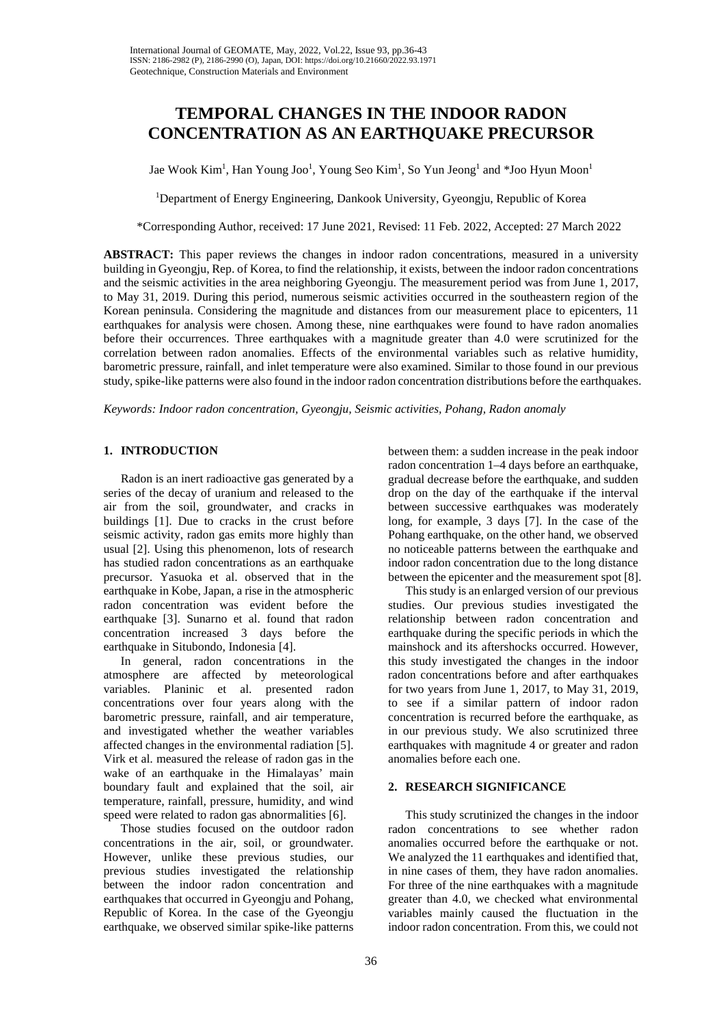# **TEMPORAL CHANGES IN THE INDOOR RADON CONCENTRATION AS AN EARTHQUAKE PRECURSOR**

Jae Wook Kim<sup>1</sup>, Han Young Joo<sup>1</sup>, Young Seo Kim<sup>1</sup>, So Yun Jeong<sup>1</sup> and \*Joo Hyun Moon<sup>1</sup>

<sup>1</sup>Department of Energy Engineering, Dankook University, Gyeongju, Republic of Korea

\*Corresponding Author, received: 17 June 2021, Revised: 11 Feb. 2022, Accepted: 27 March 2022

**ABSTRACT:** This paper reviews the changes in indoor radon concentrations, measured in a university building in Gyeongju, Rep. of Korea, to find the relationship, it exists, between the indoor radon concentrations and the seismic activities in the area neighboring Gyeongju. The measurement period was from June 1, 2017, to May 31, 2019. During this period, numerous seismic activities occurred in the southeastern region of the Korean peninsula. Considering the magnitude and distances from our measurement place to epicenters, 11 earthquakes for analysis were chosen. Among these, nine earthquakes were found to have radon anomalies before their occurrences. Three earthquakes with a magnitude greater than 4.0 were scrutinized for the correlation between radon anomalies. Effects of the environmental variables such as relative humidity, barometric pressure, rainfall, and inlet temperature were also examined. Similar to those found in our previous study, spike-like patterns were also found in the indoor radon concentration distributions before the earthquakes.

*Keywords: Indoor radon concentration, Gyeongju, Seismic activities, Pohang, Radon anomaly*

# **1. INTRODUCTION**

Radon is an inert radioactive gas generated by a series of the decay of uranium and released to the air from the soil, groundwater, and cracks in buildings [1]. Due to cracks in the crust before seismic activity, radon gas emits more highly than usual [2]. Using this phenomenon, lots of research has studied radon concentrations as an earthquake precursor. Yasuoka et al. observed that in the earthquake in Kobe, Japan, a rise in the atmospheric radon concentration was evident before the earthquake [3]. Sunarno et al. found that radon concentration increased 3 days before the earthquake in Situbondo, Indonesia [4].

In general, radon concentrations in the atmosphere are affected by meteorological variables. Planinic et al. presented radon concentrations over four years along with the barometric pressure, rainfall, and air temperature, and investigated whether the weather variables affected changes in the environmental radiation [5]. Virk et al. measured the release of radon gas in the wake of an earthquake in the Himalayas' main boundary fault and explained that the soil, air temperature, rainfall, pressure, humidity, and wind speed were related to radon gas abnormalities [6].

Those studies focused on the outdoor radon concentrations in the air, soil, or groundwater. However, unlike these previous studies, our previous studies investigated the relationship between the indoor radon concentration and earthquakes that occurred in Gyeongju and Pohang, Republic of Korea. In the case of the Gyeongju earthquake, we observed similar spike-like patterns

between them: a sudden increase in the peak indoor radon concentration 1–4 days before an earthquake, gradual decrease before the earthquake, and sudden drop on the day of the earthquake if the interval between successive earthquakes was moderately long, for example, 3 days [7]. In the case of the Pohang earthquake, on the other hand, we observed no noticeable patterns between the earthquake and indoor radon concentration due to the long distance between the epicenter and the measurement spot [8].

This study is an enlarged version of our previous studies. Our previous studies investigated the relationship between radon concentration and earthquake during the specific periods in which the mainshock and its aftershocks occurred. However, this study investigated the changes in the indoor radon concentrations before and after earthquakes for two years from June 1, 2017, to May 31, 2019, to see if a similar pattern of indoor radon concentration is recurred before the earthquake, as in our previous study. We also scrutinized three earthquakes with magnitude 4 or greater and radon anomalies before each one.

# **2. RESEARCH SIGNIFICANCE**

This study scrutinized the changes in the indoor radon concentrations to see whether radon anomalies occurred before the earthquake or not. We analyzed the 11 earthquakes and identified that, in nine cases of them, they have radon anomalies. For three of the nine earthquakes with a magnitude greater than 4.0, we checked what environmental variables mainly caused the fluctuation in the indoor radon concentration. From this, we could not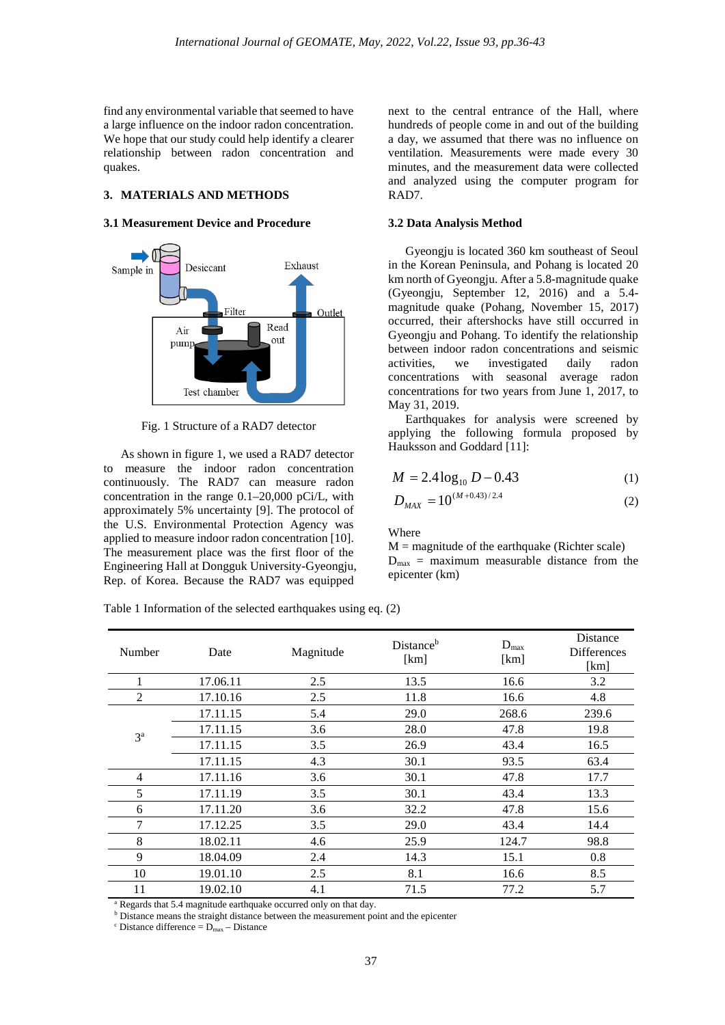find any environmental variable that seemed to have a large influence on the indoor radon concentration. We hope that our study could help identify a clearer relationship between radon concentration and quakes.

# **3. MATERIALS AND METHODS**

# **3.1 Measurement Device and Procedure**



Fig. 1 Structure of a RAD7 detector

As shown in figure 1, we used a RAD7 detector to measure the indoor radon concentration continuously. The RAD7 can measure radon concentration in the range 0.1–20,000 pCi/L, with approximately 5% uncertainty [9]. The protocol of the U.S. Environmental Protection Agency was applied to measure indoor radon concentration [10]. The measurement place was the first floor of the Engineering Hall at Dongguk University-Gyeongju, Rep. of Korea. Because the RAD7 was equipped

next to the central entrance of the Hall, where hundreds of people come in and out of the building a day, we assumed that there was no influence on ventilation. Measurements were made every 30 minutes, and the measurement data were collected and analyzed using the computer program for RAD7.

#### **3.2 Data Analysis Method**

Gyeongju is located 360 km southeast of Seoul in the Korean Peninsula, and Pohang is located 20 km north of Gyeongju. After a 5.8-magnitude quake (Gyeongju, September 12, 2016) and a 5.4 magnitude quake (Pohang, November 15, 2017) occurred, their aftershocks have still occurred in Gyeongju and Pohang. To identify the relationship between indoor radon concentrations and seismic activities, we investigated daily radon concentrations with seasonal average radon concentrations for two years from June 1, 2017, to May 31, 2019.

Earthquakes for analysis were screened by applying the following formula proposed by Hauksson and Goddard [11]:

$$
M = 2.4 \log_{10} D - 0.43 \tag{1}
$$

$$
D_{\text{MAX}} = 10^{(M+0.43)/2.4} \tag{2}
$$

#### Where

 $M =$  magnitude of the earthquake (Richter scale)  $D_{\text{max}}$  = maximum measurable distance from the epicenter (km)

Table 1 Information of the selected earthquakes using eq. (2)

| Number         | Date     | Magnitude | Distance <sup>b</sup><br>[km] | $D_{\text{max}}$<br>[km] | Distance<br><b>Differences</b><br>[km] |
|----------------|----------|-----------|-------------------------------|--------------------------|----------------------------------------|
| 1              | 17.06.11 | 2.5       | 13.5                          | 16.6                     | 3.2                                    |
| 2              | 17.10.16 | 2.5       | 11.8                          | 16.6                     | 4.8                                    |
| 3 <sup>a</sup> | 17.11.15 | 5.4       | 29.0                          | 268.6                    | 239.6                                  |
|                | 17.11.15 | 3.6       | 28.0                          | 47.8                     | 19.8                                   |
|                | 17.11.15 | 3.5       | 26.9                          | 43.4                     | 16.5                                   |
|                | 17.11.15 | 4.3       | 30.1                          | 93.5                     | 63.4                                   |
| $\overline{4}$ | 17.11.16 | 3.6       | 30.1                          | 47.8                     | 17.7                                   |
| 5              | 17.11.19 | 3.5       | 30.1                          | 43.4                     | 13.3                                   |
| 6              | 17.11.20 | 3.6       | 32.2                          | 47.8                     | 15.6                                   |
| 7              | 17.12.25 | 3.5       | 29.0                          | 43.4                     | 14.4                                   |
| 8              | 18.02.11 | 4.6       | 25.9                          | 124.7                    | 98.8                                   |
| 9              | 18.04.09 | 2.4       | 14.3                          | 15.1                     | 0.8                                    |
| 10             | 19.01.10 | 2.5       | 8.1                           | 16.6                     | 8.5                                    |
| 11             | 19.02.10 | 4.1       | 71.5                          | 77.2                     | 5.7                                    |

<sup>a</sup> Regards that 5.4 magnitude earthquake occurred only on that day.

**b** Distance means the straight distance between the measurement point and the epicenter

 $\text{c}$  Distance difference =  $\overline{\text{D}_{\text{max}}}$  – Distance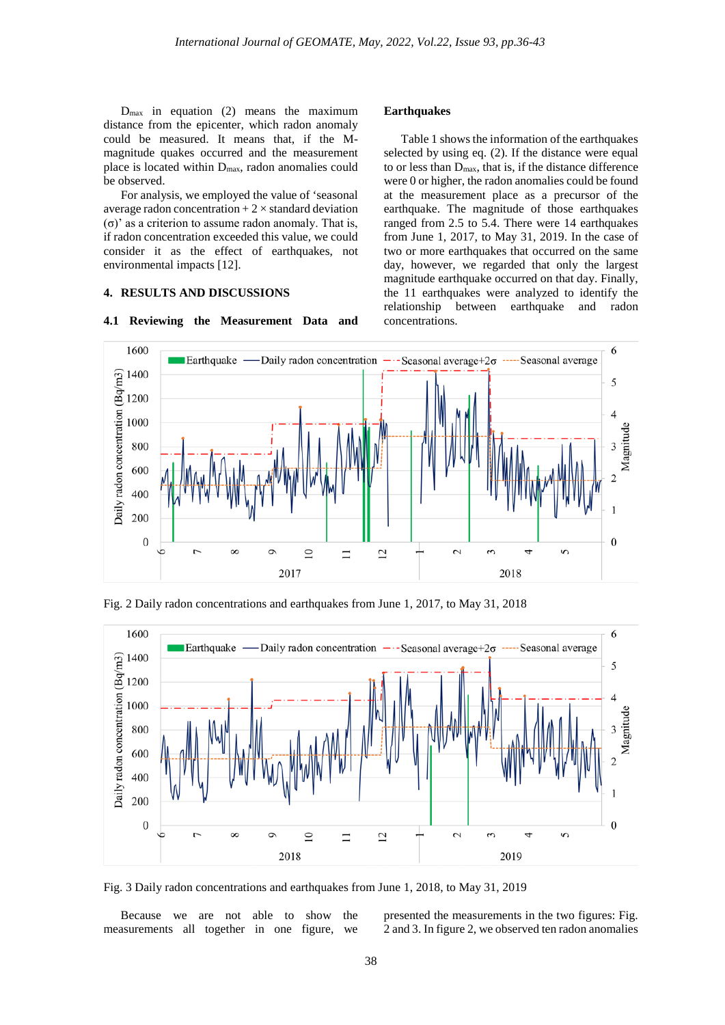**Earthquakes**

concentrations.

Table 1 shows the information of the earthquakes selected by using eq. (2). If the distance were equal to or less than Dmax, that is, if the distance difference were 0 or higher, the radon anomalies could be found at the measurement place as a precursor of the earthquake. The magnitude of those earthquakes ranged from 2.5 to 5.4. There were 14 earthquakes from June 1, 2017, to May 31, 2019. In the case of two or more earthquakes that occurred on the same day, however, we regarded that only the largest magnitude earthquake occurred on that day. Finally, the 11 earthquakes were analyzed to identify the relationship between earthquake and radon

 $D_{\text{max}}$  in equation (2) means the maximum distance from the epicenter, which radon anomaly could be measured. It means that, if the Mmagnitude quakes occurred and the measurement place is located within Dmax, radon anomalies could be observed.

For analysis, we employed the value of 'seasonal average radon concentration  $+2 \times$  standard deviation (σ)' as a criterion to assume radon anomaly. That is, if radon concentration exceeded this value, we could consider it as the effect of earthquakes, not environmental impacts [12].

### **4. RESULTS AND DISCUSSIONS**

#### 1600 6 **Earthquake** Daily radon concentration  $-\cdot$ -Seasonal average+2 $\sigma$  -----Seasonal average Daily radon concentration (Bq/m3) 1400 5 1200 1000 Magnitude 800 3 600 400 200  $\boldsymbol{0}$  $\boldsymbol{0}$  $\overline{C}$  $\infty$  $\circ$  $\overline{10}$  $\equiv$  $\overline{2}$  $\sim$  $\epsilon$  $\overline{ }$  $\sim$ ċ 2017 2018

# **4.1 Reviewing the Measurement Data and**

Fig. 2 Daily radon concentrations and earthquakes from June 1, 2017, to May 31, 2018



Fig. 3 Daily radon concentrations and earthquakes from June 1, 2018, to May 31, 2019

Because we are not able to show the measurements all together in one figure, we presented the measurements in the two figures: Fig. 2 and 3. In figure 2, we observed ten radon anomalies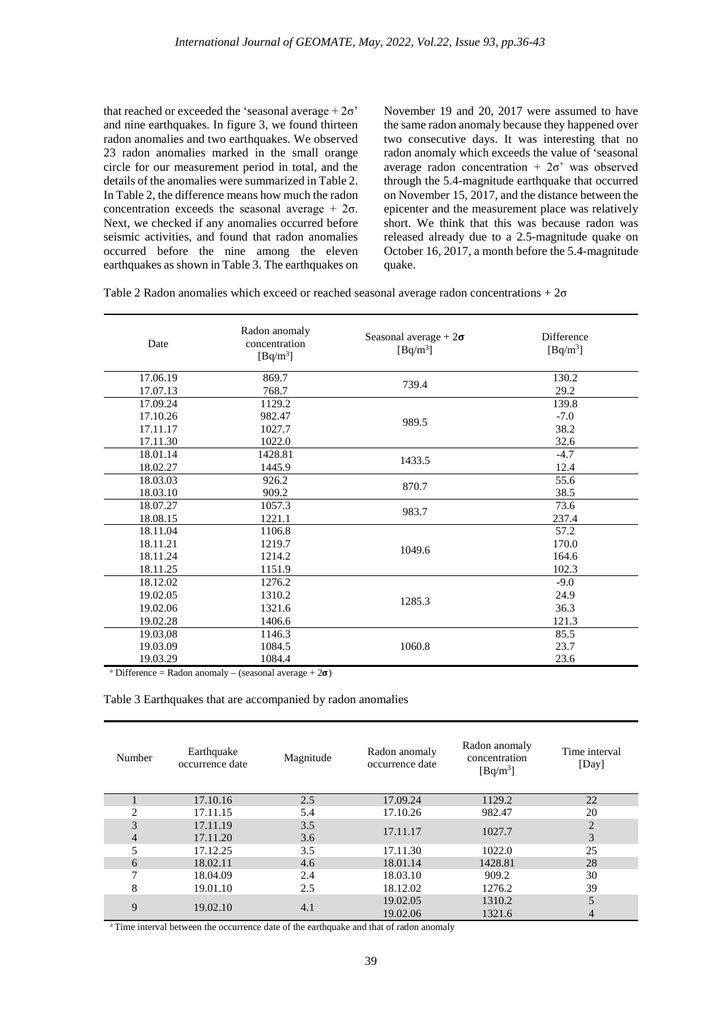that reached or exceeded the 'seasonal average  $+2\sigma$ ' and nine earthquakes. In figure 3, we found thirteen radon anomalies and two earthquakes. We observed 23 radon anomalies marked in the small orange circle for our measurement period in total, and the details of the anomalies were summarized in Table 2. In Table 2, the difference means how much the radon concentration exceeds the seasonal average  $+2\sigma$ . Next, we checked if any anomalies occurred before seismic activities, and found that radon anomalies occurred before the nine among the eleven earthquakes as shown in Table 3. The earthquakes on November 19 and 20, 2017 were assumed to have the same radon anomaly because they happened over two consecutive days. It was interesting that no radon anomaly which exceeds the value of 'seasonal average radon concentration  $+2\sigma$ ' was observed through the 5.4-magnitude earthquake that occurred on November 15, 2017, and the distance between the epicenter and the measurement place was relatively short. We think that this was because radon was released already due to a 2.5-magnitude quake on October 16, 2017, a month before the 5.4-magnitude quake.

Table 2 Radon anomalies which exceed or reached seasonal average radon concentrations +  $2\sigma$ 

| Date     | Radon anomaly<br>concentration<br>$[Bq/m^3]$ | Seasonal average + $2\sigma$<br>$[Bq/m^3]$ | Difference<br>$[Bq/m^3]$ |
|----------|----------------------------------------------|--------------------------------------------|--------------------------|
| 17.06.19 | 869.7                                        |                                            | 130.2                    |
| 17.07.13 | 768.7                                        | 739.4                                      | 29.2                     |
| 17.09.24 | 1129.2                                       |                                            | 139.8                    |
| 17.10.26 | 982.47                                       | 989.5                                      | $-7.0$                   |
| 17.11.17 | 1027.7                                       |                                            | 38.2                     |
| 17.11.30 | 1022.0                                       |                                            | 32.6                     |
| 18.01.14 | 1428.81                                      | 1433.5                                     | $-4.7$                   |
| 18.02.27 | 1445.9                                       |                                            | 12.4                     |
| 18.03.03 | 926.2                                        | 870.7                                      | 55.6                     |
| 18.03.10 | 909.2                                        |                                            | 38.5                     |
| 18.07.27 | 1057.3                                       | 983.7                                      | 73.6                     |
| 18.08.15 | 1221.1                                       |                                            | 237.4                    |
| 18.11.04 | 1106.8                                       |                                            | 57.2                     |
| 18.11.21 | 1219.7                                       | 1049.6                                     | 170.0                    |
| 18.11.24 | 1214.2                                       |                                            | 164.6                    |
| 18.11.25 | 1151.9                                       |                                            | 102.3                    |
| 18.12.02 | 1276.2                                       |                                            | $-9.0$                   |
| 19.02.05 | 1310.2                                       | 1285.3                                     | 24.9                     |
| 19.02.06 | 1321.6                                       |                                            | 36.3                     |
| 19.02.28 | 1406.6                                       |                                            | 121.3                    |
| 19.03.08 | 1146.3                                       |                                            | 85.5                     |
| 19.03.09 | 1084.5                                       | 1060.8                                     | 23.7                     |
| 19.03.29 | 1084.4                                       |                                            | 23.6                     |

<sup>a</sup> Difference = Radon anomaly – (seasonal average +  $2\sigma$ )

Table 3 Earthquakes that are accompanied by radon anomalies

| Number         | Earthquake<br>occurrence date | Magnitude | Radon anomaly<br>occurrence date | Radon anomaly<br>concentration<br>$[Bq/m^3]$ | Time interval<br>[Day] |
|----------------|-------------------------------|-----------|----------------------------------|----------------------------------------------|------------------------|
|                | 17.10.16                      | 2.5       | 17.09.24                         | 1129.2                                       | 22                     |
| 2              | 17.11.15                      | 5.4       | 17.10.26                         | 982.47                                       | 20                     |
| 3              | 17.11.19                      | 3.5       | 17.11.17                         | 1027.7                                       | $\overline{2}$         |
| $\overline{4}$ | 17.11.20                      | 3.6       |                                  |                                              | 3                      |
| 5              | 17.12.25                      | 3.5       | 17.11.30                         | 1022.0                                       | 25                     |
| 6              | 18.02.11                      | 4.6       | 18.01.14                         | 1428.81                                      | 28                     |
| 7              | 18.04.09                      | 2.4       | 18.03.10                         | 909.2                                        | 30                     |
| 8              | 19.01.10                      | 2.5       | 18.12.02                         | 1276.2                                       | 39                     |
| 9              |                               |           | 19.02.05                         | 1310.2                                       | 5                      |
|                | 19.02.10                      | 4.1       | 19.02.06                         | 1321.6                                       | 4                      |

<sup>a</sup> Time interval between the occurrence date of the earthquake and that of radon anomaly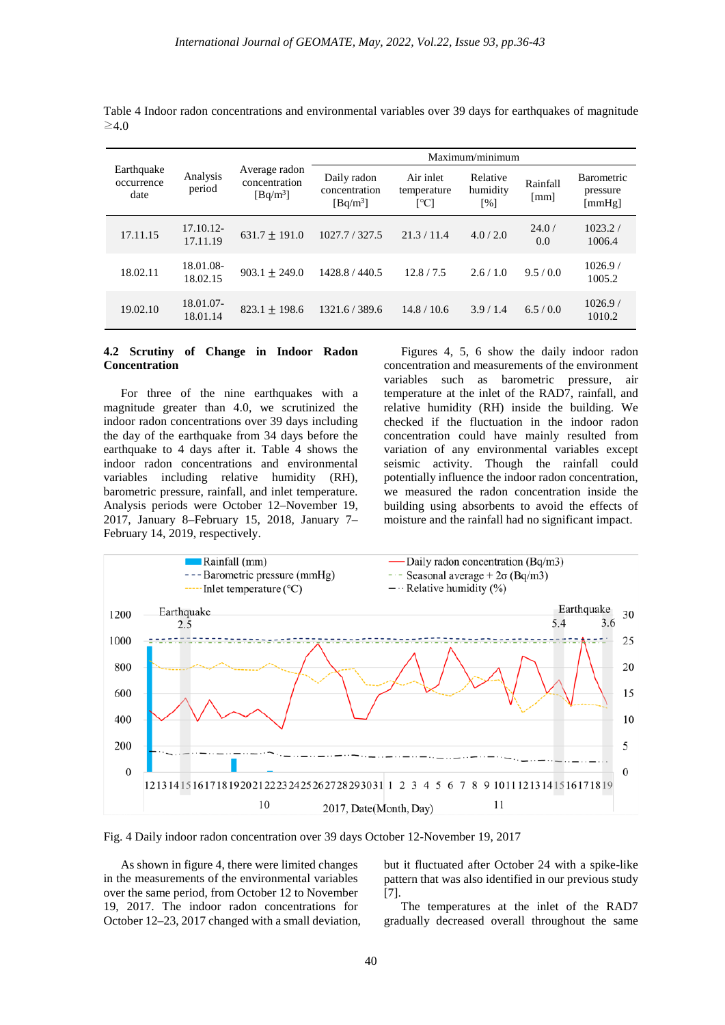| Earthquake<br>occurrence<br>date | Analysis<br>period    | Average radon<br>concentration<br>$[Bq/m^3]$ | Maximum/minimum                            |                                  |                                            |                                  |                                             |
|----------------------------------|-----------------------|----------------------------------------------|--------------------------------------------|----------------------------------|--------------------------------------------|----------------------------------|---------------------------------------------|
|                                  |                       |                                              | Daily radon<br>concentration<br>$[Bq/m^3]$ | Air inlet<br>temperature<br>[°C] | Relative<br>humidity<br>$\lceil \% \rceil$ | Rainfall<br>$\lceil$ mm $\rceil$ | <b>Barometric</b><br>pressure<br>[mm $Hg$ ] |
| 17.11.15                         | 17.10.12-<br>17.11.19 | $631.7 \pm 191.0$                            | 1027.7 / 327.5                             | 21.3/11.4                        | 4.0/2.0                                    | 24.0/<br>0.0                     | 1023.2/<br>1006.4                           |
| 18.02.11                         | 18.01.08-<br>18.02.15 | $903.1 + 249.0$                              | 1428.8 / 440.5                             | 12.8/7.5                         | 2.6/1.0                                    | 9.5/0.0                          | 1026.9/<br>1005.2                           |
| 19.02.10                         | 18.01.07-<br>18.01.14 | $823.1 + 198.6$                              | 1321.6/389.6                               | 14.8/10.6                        | 3.9/1.4                                    | 6.5/0.0                          | 1026.9/<br>1010.2                           |

Table 4 Indoor radon concentrations and environmental variables over 39 days for earthquakes of magnitude  $\geq 4.0$ 

# **4.2 Scrutiny of Change in Indoor Radon Concentration**

For three of the nine earthquakes with a magnitude greater than 4.0, we scrutinized the indoor radon concentrations over 39 days including the day of the earthquake from 34 days before the earthquake to 4 days after it. Table 4 shows the indoor radon concentrations and environmental variables including relative humidity (RH), barometric pressure, rainfall, and inlet temperature. Analysis periods were October 12–November 19, 2017, January 8–February 15, 2018, January 7– February 14, 2019, respectively.

Figures 4, 5, 6 show the daily indoor radon concentration and measurements of the environment variables such as barometric pressure, air temperature at the inlet of the RAD7, rainfall, and relative humidity (RH) inside the building. We checked if the fluctuation in the indoor radon concentration could have mainly resulted from variation of any environmental variables except seismic activity. Though the rainfall could potentially influence the indoor radon concentration, we measured the radon concentration inside the building using absorbents to avoid the effects of moisture and the rainfall had no significant impact.



Fig. 4 Daily indoor radon concentration over 39 days October 12-November 19, 2017

As shown in figure 4, there were limited changes in the measurements of the environmental variables over the same period, from October 12 to November 19, 2017. The indoor radon concentrations for October 12–23, 2017 changed with a small deviation,

but it fluctuated after October 24 with a spike-like pattern that was also identified in our previous study [7].

The temperatures at the inlet of the RAD7 gradually decreased overall throughout the same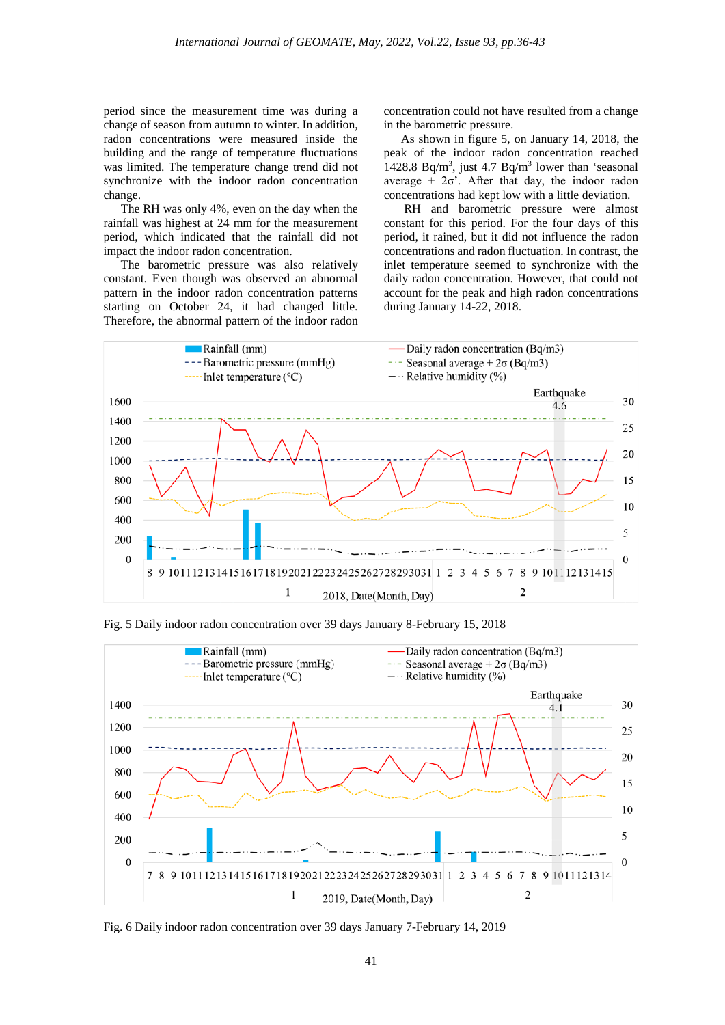period since the measurement time was during a change of season from autumn to winter. In addition, radon concentrations were measured inside the building and the range of temperature fluctuations was limited. The temperature change trend did not synchronize with the indoor radon concentration change.

The RH was only 4%, even on the day when the rainfall was highest at 24 mm for the measurement period, which indicated that the rainfall did not impact the indoor radon concentration.

The barometric pressure was also relatively constant. Even though was observed an abnormal pattern in the indoor radon concentration patterns starting on October 24, it had changed little. Therefore, the abnormal pattern of the indoor radon

concentration could not have resulted from a change in the barometric pressure.

As shown in figure 5, on January 14, 2018, the peak of the indoor radon concentration reached 1428.8 Bq/m<sup>3</sup>, just 4.7 Bq/m<sup>3</sup> lower than 'seasonal average +  $2\sigma$ <sup>2</sup>. After that day, the indoor radon concentrations had kept low with a little deviation.

RH and barometric pressure were almost constant for this period. For the four days of this period, it rained, but it did not influence the radon concentrations and radon fluctuation. In contrast, the inlet temperature seemed to synchronize with the daily radon concentration. However, that could not account for the peak and high radon concentrations during January 14-22, 2018.



Fig. 5 Daily indoor radon concentration over 39 days January 8-February 15, 2018



Fig. 6 Daily indoor radon concentration over 39 days January 7-February 14, 2019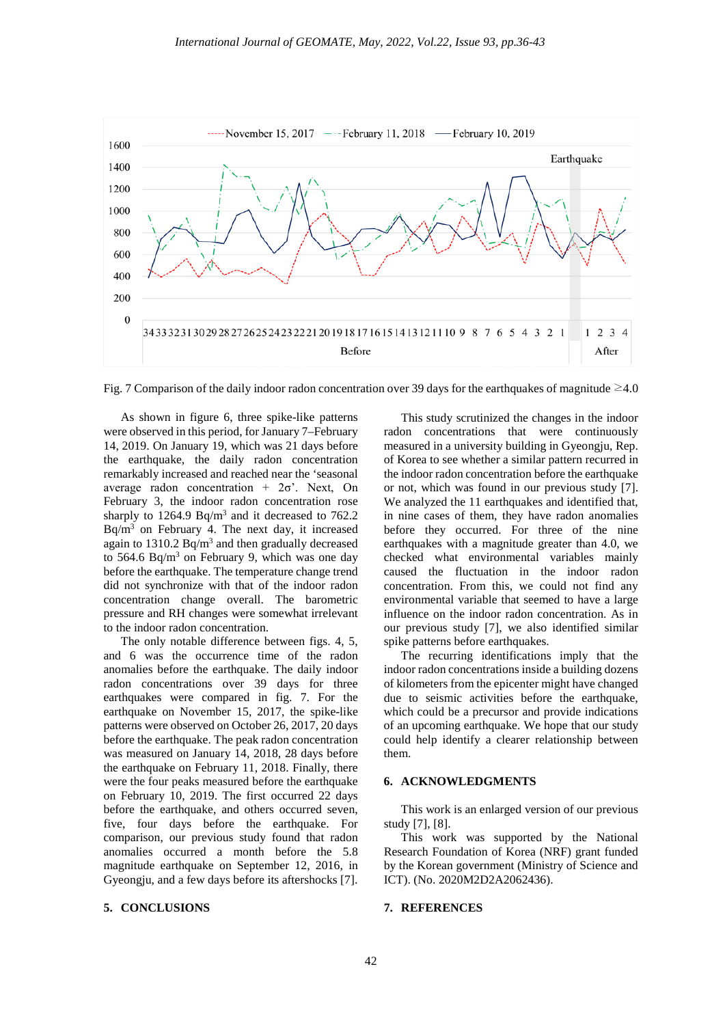

Fig. 7 Comparison of the daily indoor radon concentration over 39 days for the earthquakes of magnitude  $\geq 4.0$ 

As shown in figure 6, three spike-like patterns were observed in this period, for January 7–February 14, 2019. On January 19, which was 21 days before the earthquake, the daily radon concentration remarkably increased and reached near the 'seasonal average radon concentration +  $2\sigma$ . Next, On February 3, the indoor radon concentration rose sharply to  $1264.9$  Bq/m<sup>3</sup> and it decreased to  $762.2$  $Bq/m<sup>3</sup>$  on February 4. The next day, it increased again to  $1310.2$  Bq/m<sup>3</sup> and then gradually decreased to 564.6 Bq/m<sup>3</sup> on February 9, which was one day before the earthquake. The temperature change trend did not synchronize with that of the indoor radon concentration change overall. The barometric pressure and RH changes were somewhat irrelevant to the indoor radon concentration.

The only notable difference between figs. 4, 5, and 6 was the occurrence time of the radon anomalies before the earthquake. The daily indoor radon concentrations over 39 days for three earthquakes were compared in fig. 7. For the earthquake on November 15, 2017, the spike-like patterns were observed on October 26, 2017, 20 days before the earthquake. The peak radon concentration was measured on January 14, 2018, 28 days before the earthquake on February 11, 2018. Finally, there were the four peaks measured before the earthquake on February 10, 2019. The first occurred 22 days before the earthquake, and others occurred seven, five, four days before the earthquake. For comparison, our previous study found that radon anomalies occurred a month before the 5.8 magnitude earthquake on September 12, 2016, in Gyeongju, and a few days before its aftershocks [7].

#### **5. CONCLUSIONS**

This study scrutinized the changes in the indoor radon concentrations that were continuously measured in a university building in Gyeongju, Rep. of Korea to see whether a similar pattern recurred in the indoor radon concentration before the earthquake or not, which was found in our previous study [7]. We analyzed the 11 earthquakes and identified that, in nine cases of them, they have radon anomalies before they occurred. For three of the nine earthquakes with a magnitude greater than 4.0, we checked what environmental variables mainly caused the fluctuation in the indoor radon concentration. From this, we could not find any environmental variable that seemed to have a large influence on the indoor radon concentration. As in our previous study [7], we also identified similar spike patterns before earthquakes.

The recurring identifications imply that the indoor radon concentrations inside a building dozens of kilometers from the epicenter might have changed due to seismic activities before the earthquake, which could be a precursor and provide indications of an upcoming earthquake. We hope that our study could help identify a clearer relationship between them.

#### **6. ACKNOWLEDGMENTS**

This work is an enlarged version of our previous study [7], [8].

This work was supported by the National Research Foundation of Korea (NRF) grant funded by the Korean government (Ministry of Science and ICT). (No. 2020M2D2A2062436).

#### **7. REFERENCES**